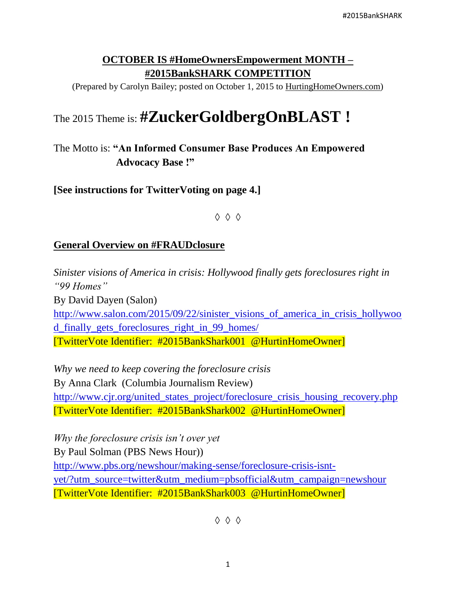### **OCTOBER IS #HomeOwnersEmpowerment MONTH – #2015BankSHARK COMPETITION**

(Prepared by Carolyn Bailey; posted on October 1, 2015 to HurtingHomeOwners.com)

# The 2015 Theme is: **#ZuckerGoldbergOnBLAST !**

## The Motto is: **"An Informed Consumer Base Produces An Empowered Advocacy Base !"**

**[See instructions for TwitterVoting on page 4.]**

◊ ◊ ◊

#### **General Overview on #FRAUDclosure**

*Sinister visions of America in crisis: Hollywood finally gets foreclosures right in "99 Homes"* By David Dayen (Salon) [http://www.salon.com/2015/09/22/sinister\\_visions\\_of\\_america\\_in\\_crisis\\_hollywoo](http://www.salon.com/2015/09/22/sinister_visions_of_america_in_crisis_hollywood_finally_gets_foreclosures_right_in_99_homes/) [d\\_finally\\_gets\\_foreclosures\\_right\\_in\\_99\\_homes/](http://www.salon.com/2015/09/22/sinister_visions_of_america_in_crisis_hollywood_finally_gets_foreclosures_right_in_99_homes/) [TwitterVote Identifier: #2015BankShark001 @HurtinHomeOwner]

*Why we need to keep covering the foreclosure crisis* By Anna Clark (Columbia Journalism Review) [http://www.cjr.org/united\\_states\\_project/foreclosure\\_crisis\\_housing\\_recovery.php](http://www.cjr.org/united_states_project/foreclosure_crisis_housing_recovery.php) [TwitterVote Identifier: #2015BankShark002 @HurtinHomeOwner]

*Why the foreclosure crisis isn't over yet* By Paul Solman (PBS News Hour)) [http://www.pbs.org/newshour/making-sense/foreclosure-crisis-isnt](http://www.pbs.org/newshour/making-sense/foreclosure-crisis-isnt-yet/?utm_source=twitter&utm_medium=pbsofficial&utm_campaign=newshour)[yet/?utm\\_source=twitter&utm\\_medium=pbsofficial&utm\\_campaign=newshour](http://www.pbs.org/newshour/making-sense/foreclosure-crisis-isnt-yet/?utm_source=twitter&utm_medium=pbsofficial&utm_campaign=newshour) [TwitterVote Identifier: #2015BankShark003 @HurtinHomeOwner]

◊ ◊ ◊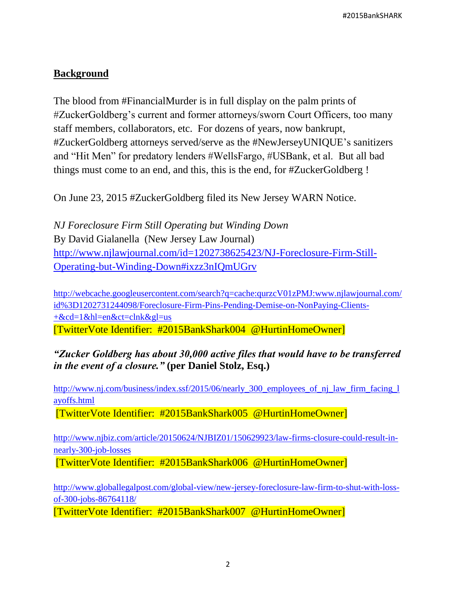#### **Background**

The blood from #FinancialMurder is in full display on the palm prints of #ZuckerGoldberg's current and former attorneys/sworn Court Officers, too many staff members, collaborators, etc. For dozens of years, now bankrupt, #ZuckerGoldberg attorneys served/serve as the #NewJerseyUNIQUE's sanitizers and "Hit Men" for predatory lenders #WellsFargo, #USBank, et al. But all bad things must come to an end, and this, this is the end, for #ZuckerGoldberg !

On June 23, 2015 #ZuckerGoldberg filed its New Jersey WARN Notice.

*NJ Foreclosure Firm Still Operating but Winding Down* By David Gialanella (New Jersey Law Journal) [http://www.njlawjournal.com/id=1202738625423/NJ-Foreclosure-Firm-Still-](http://www.njlawjournal.com/id=1202738625423/NJ-Foreclosure-Firm-Still-Operating-but-Winding-Down#ixzz3nIQmUGrv)[Operating-but-Winding-Down#ixzz3nIQmUGrv](http://www.njlawjournal.com/id=1202738625423/NJ-Foreclosure-Firm-Still-Operating-but-Winding-Down#ixzz3nIQmUGrv)

[http://webcache.googleusercontent.com/search?q=cache:qurzcV01zPMJ:www.njlawjournal.com/](http://webcache.googleusercontent.com/search?q=cache:qurzcV01zPMJ:www.njlawjournal.com/id%3D1202731244098/Foreclosure-Firm-Pins-Pending-Demise-on-NonPaying-Clients-+&cd=1&hl=en&ct=clnk&gl=us) [id%3D1202731244098/Foreclosure-Firm-Pins-Pending-Demise-on-NonPaying-Clients-](http://webcache.googleusercontent.com/search?q=cache:qurzcV01zPMJ:www.njlawjournal.com/id%3D1202731244098/Foreclosure-Firm-Pins-Pending-Demise-on-NonPaying-Clients-+&cd=1&hl=en&ct=clnk&gl=us) [+&cd=1&hl=en&ct=clnk&gl=us](http://webcache.googleusercontent.com/search?q=cache:qurzcV01zPMJ:www.njlawjournal.com/id%3D1202731244098/Foreclosure-Firm-Pins-Pending-Demise-on-NonPaying-Clients-+&cd=1&hl=en&ct=clnk&gl=us) [TwitterVote Identifier: #2015BankShark004 @HurtinHomeOwner]

*"Zucker Goldberg has about 30,000 active files that would have to be transferred in the event of a closure."* **(per Daniel Stolz, Esq.)**

http://www.nj.com/business/index.ssf/2015/06/nearly\_300\_employees\_of\_nj\_law\_firm\_facing\_1 [ayoffs.html](http://www.nj.com/business/index.ssf/2015/06/nearly_300_employees_of_nj_law_firm_facing_layoffs.html)

[TwitterVote Identifier: #2015BankShark005 @HurtinHomeOwner]

[http://www.njbiz.com/article/20150624/NJBIZ01/150629923/law-firms-closure-could-result-in](http://www.njbiz.com/article/20150624/NJBIZ01/150629923/law-firms-closure-could-result-in-nearly-300-job-losses)[nearly-300-job-losses](http://www.njbiz.com/article/20150624/NJBIZ01/150629923/law-firms-closure-could-result-in-nearly-300-job-losses)

[TwitterVote Identifier: #2015BankShark006 @HurtinHomeOwner]

[http://www.globallegalpost.com/global-view/new-jersey-foreclosure-law-firm-to-shut-with-loss](http://www.globallegalpost.com/global-view/new-jersey-foreclosure-law-firm-to-shut-with-loss-of-300-jobs-86764118/)[of-300-jobs-86764118/](http://www.globallegalpost.com/global-view/new-jersey-foreclosure-law-firm-to-shut-with-loss-of-300-jobs-86764118/)

[TwitterVote Identifier: #2015BankShark007 @HurtinHomeOwner]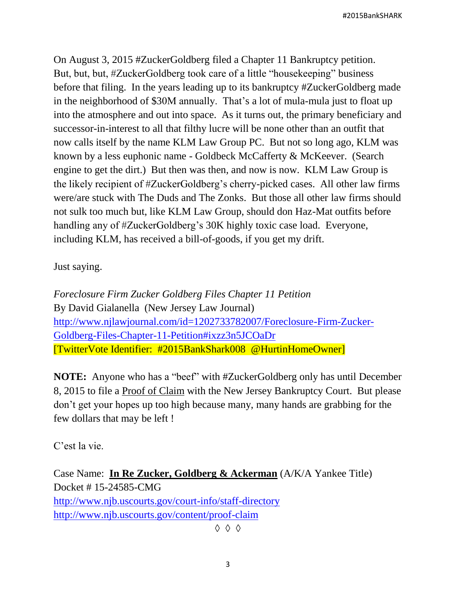On August 3, 2015 #ZuckerGoldberg filed a Chapter 11 Bankruptcy petition. But, but, but, #ZuckerGoldberg took care of a little "housekeeping" business before that filing. In the years leading up to its bankruptcy #ZuckerGoldberg made in the neighborhood of \$30M annually. That's a lot of mula-mula just to float up into the atmosphere and out into space. As it turns out, the primary beneficiary and successor-in-interest to all that filthy lucre will be none other than an outfit that now calls itself by the name KLM Law Group PC. But not so long ago, KLM was known by a less euphonic name - Goldbeck McCafferty & McKeever. (Search engine to get the dirt.) But then was then, and now is now. KLM Law Group is the likely recipient of #ZuckerGoldberg's cherry-picked cases. All other law firms were/are stuck with The Duds and The Zonks. But those all other law firms should not sulk too much but, like KLM Law Group, should don Haz-Mat outfits before handling any of #ZuckerGoldberg's 30K highly toxic case load. Everyone, including KLM, has received a bill-of-goods, if you get my drift.

Just saying.

*Foreclosure Firm Zucker Goldberg Files Chapter 11 Petition* By David Gialanella (New Jersey Law Journal) [http://www.njlawjournal.com/id=1202733782007/Foreclosure-Firm-Zucker-](http://www.njlawjournal.com/id=1202733782007/Foreclosure-Firm-Zucker-Goldberg-Files-Chapter-11-Petition#ixzz3n5JCOaDr)[Goldberg-Files-Chapter-11-Petition#ixzz3n5JCOaDr](http://www.njlawjournal.com/id=1202733782007/Foreclosure-Firm-Zucker-Goldberg-Files-Chapter-11-Petition#ixzz3n5JCOaDr) [TwitterVote Identifier: #2015BankShark008 @HurtinHomeOwner]

**NOTE:** Anyone who has a "beef" with #ZuckerGoldberg only has until December 8, 2015 to file a Proof of Claim with the New Jersey Bankruptcy Court. But please don't get your hopes up too high because many, many hands are grabbing for the few dollars that may be left !

C'est la vie.

Case Name: **In Re Zucker, Goldberg & Ackerman** (A/K/A Yankee Title) Docket # 15-24585-CMG <http://www.njb.uscourts.gov/court-info/staff-directory> <http://www.njb.uscourts.gov/content/proof-claim>

◊ ◊ ◊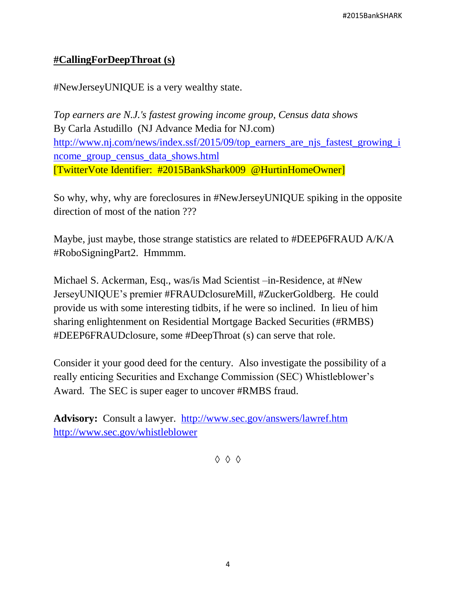#### **#CallingForDeepThroat (s)**

#NewJerseyUNIQUE is a very wealthy state.

*Top earners are N.J.'s fastest growing income group, Census data shows* By Carla Astudillo (NJ Advance Media for NJ.com) [http://www.nj.com/news/index.ssf/2015/09/top\\_earners\\_are\\_njs\\_fastest\\_growing\\_i](http://www.nj.com/news/index.ssf/2015/09/top_earners_are_njs_fastest_growing_income_group_census_data_shows.html) [ncome\\_group\\_census\\_data\\_shows.html](http://www.nj.com/news/index.ssf/2015/09/top_earners_are_njs_fastest_growing_income_group_census_data_shows.html) [TwitterVote Identifier: #2015BankShark009 @HurtinHomeOwner]

So why, why, why are foreclosures in #NewJerseyUNIQUE spiking in the opposite direction of most of the nation ???

Maybe, just maybe, those strange statistics are related to #DEEP6FRAUD A/K/A #RoboSigningPart2. Hmmmm.

Michael S. Ackerman, Esq., was/is Mad Scientist –in-Residence, at #New JerseyUNIQUE's premier #FRAUDclosureMill, #ZuckerGoldberg. He could provide us with some interesting tidbits, if he were so inclined. In lieu of him sharing enlightenment on Residential Mortgage Backed Securities (#RMBS) #DEEP6FRAUDclosure, some #DeepThroat (s) can serve that role.

Consider it your good deed for the century. Also investigate the possibility of a really enticing Securities and Exchange Commission (SEC) Whistleblower's Award. The SEC is super eager to uncover #RMBS fraud.

**Advisory:** Consult a lawyer. <http://www.sec.gov/answers/lawref.htm> <http://www.sec.gov/whistleblower>

◊ ◊ ◊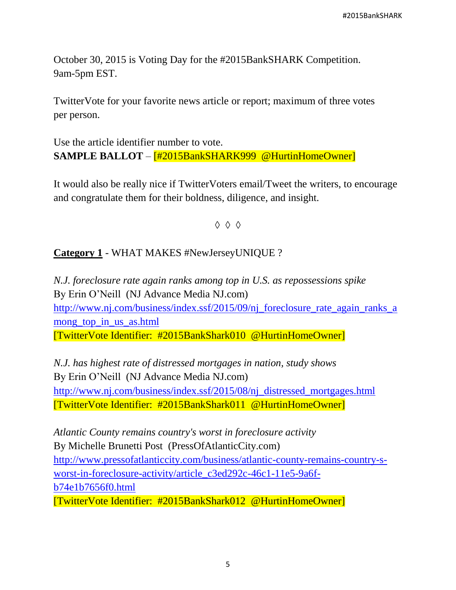October 30, 2015 is Voting Day for the #2015BankSHARK Competition. 9am-5pm EST.

TwitterVote for your favorite news article or report; maximum of three votes per person.

Use the article identifier number to vote. **SAMPLE BALLOT** – [#2015BankSHARK999 @HurtinHomeOwner]

It would also be really nice if TwitterVoters email/Tweet the writers, to encourage and congratulate them for their boldness, diligence, and insight.

◊ ◊ ◊

#### **Category 1** - WHAT MAKES #NewJerseyUNIQUE ?

*N.J. foreclosure rate again ranks among top in U.S. as repossessions spike* By Erin O'Neill (NJ Advance Media NJ.com) [http://www.nj.com/business/index.ssf/2015/09/nj\\_foreclosure\\_rate\\_again\\_ranks\\_a](http://www.nj.com/business/index.ssf/2015/09/nj_foreclosure_rate_again_ranks_among_top_in_us_as.html) [mong\\_top\\_in\\_us\\_as.html](http://www.nj.com/business/index.ssf/2015/09/nj_foreclosure_rate_again_ranks_among_top_in_us_as.html) [TwitterVote Identifier: #2015BankShark010 @HurtinHomeOwner]

*N.J. has highest rate of distressed mortgages in nation, study shows* By Erin O'Neill (NJ Advance Media NJ.com) [http://www.nj.com/business/index.ssf/2015/08/nj\\_distressed\\_mortgages.html](http://www.nj.com/business/index.ssf/2015/08/nj_distressed_mortgages.html) [TwitterVote Identifier: #2015BankShark011 @HurtinHomeOwner]

*Atlantic County remains country's worst in foreclosure activity* By Michelle Brunetti Post (PressOfAtlanticCity.com) [http://www.pressofatlanticcity.com/business/atlantic-county-remains-country-s](http://www.pressofatlanticcity.com/business/atlantic-county-remains-country-s-worst-in-foreclosure-activity/article_c3ed292c-46c1-11e5-9a6f-b74e1b7656f0.html)[worst-in-foreclosure-activity/article\\_c3ed292c-46c1-11e5-9a6f](http://www.pressofatlanticcity.com/business/atlantic-county-remains-country-s-worst-in-foreclosure-activity/article_c3ed292c-46c1-11e5-9a6f-b74e1b7656f0.html)[b74e1b7656f0.html](http://www.pressofatlanticcity.com/business/atlantic-county-remains-country-s-worst-in-foreclosure-activity/article_c3ed292c-46c1-11e5-9a6f-b74e1b7656f0.html) [TwitterVote Identifier: #2015BankShark012 @HurtinHomeOwner]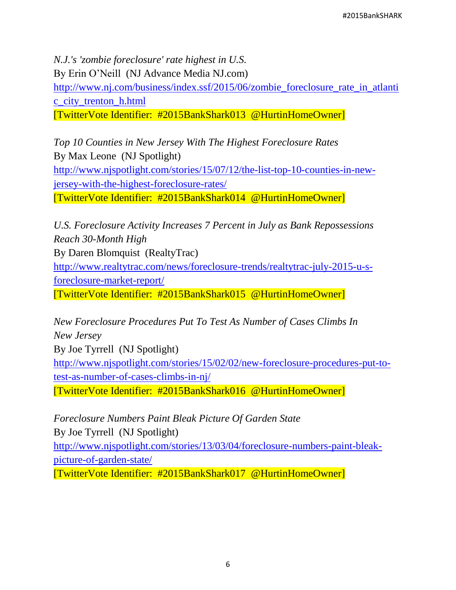*N.J.'s 'zombie foreclosure' rate highest in U.S.* By Erin O'Neill (NJ Advance Media NJ.com) [http://www.nj.com/business/index.ssf/2015/06/zombie\\_foreclosure\\_rate\\_in\\_atlanti](http://www.nj.com/business/index.ssf/2015/06/zombie_foreclosure_rate_in_atlantic_city_trenton_h.html) [c\\_city\\_trenton\\_h.html](http://www.nj.com/business/index.ssf/2015/06/zombie_foreclosure_rate_in_atlantic_city_trenton_h.html) [TwitterVote Identifier: #2015BankShark013 @HurtinHomeOwner]

*Top 10 Counties in New Jersey With The Highest Foreclosure Rates* By Max Leone (NJ Spotlight) [http://www.njspotlight.com/stories/15/07/12/the-list-top-10-counties-in-new](http://www.njspotlight.com/stories/15/07/12/the-list-top-10-counties-in-new-jersey-with-the-highest-foreclosure-rates/)[jersey-with-the-highest-foreclosure-rates/](http://www.njspotlight.com/stories/15/07/12/the-list-top-10-counties-in-new-jersey-with-the-highest-foreclosure-rates/) [TwitterVote Identifier: #2015BankShark014 @HurtinHomeOwner]

*U.S. Foreclosure Activity Increases 7 Percent in July as Bank Repossessions Reach 30-Month High*

By Daren Blomquist (RealtyTrac)

[http://www.realtytrac.com/news/foreclosure-trends/realtytrac-july-2015-u-s](http://www.realtytrac.com/news/foreclosure-trends/realtytrac-july-2015-u-s-foreclosure-market-report/)[foreclosure-market-report/](http://www.realtytrac.com/news/foreclosure-trends/realtytrac-july-2015-u-s-foreclosure-market-report/)

[TwitterVote Identifier: #2015BankShark015 @HurtinHomeOwner]

*New Foreclosure Procedures Put To Test As Number of Cases Climbs In New Jersey* 

By Joe Tyrrell (NJ Spotlight)

[http://www.njspotlight.com/stories/15/02/02/new-foreclosure-procedures-put-to](http://www.njspotlight.com/stories/15/02/02/new-foreclosure-procedures-put-to-test-as-number-of-cases-climbs-in-nj/)[test-as-number-of-cases-climbs-in-nj/](http://www.njspotlight.com/stories/15/02/02/new-foreclosure-procedures-put-to-test-as-number-of-cases-climbs-in-nj/)

[TwitterVote Identifier: #2015BankShark016 @HurtinHomeOwner]

*Foreclosure Numbers Paint Bleak Picture Of Garden State* 

By Joe Tyrrell (NJ Spotlight)

[http://www.njspotlight.com/stories/13/03/04/foreclosure-numbers-paint-bleak](http://www.njspotlight.com/stories/13/03/04/foreclosure-numbers-paint-bleak-picture-of-garden-state/)[picture-of-garden-state/](http://www.njspotlight.com/stories/13/03/04/foreclosure-numbers-paint-bleak-picture-of-garden-state/)

[TwitterVote Identifier: #2015BankShark017 @HurtinHomeOwner]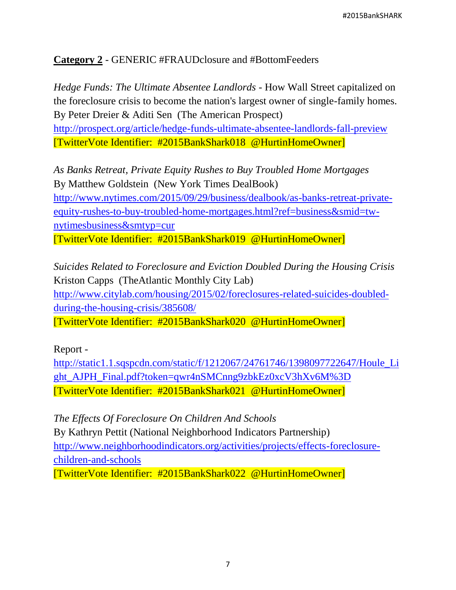#### **Category 2** - GENERIC #FRAUDclosure and #BottomFeeders

*Hedge Funds: The Ultimate Absentee Landlords -* How Wall Street capitalized on the foreclosure crisis to become the nation's largest owner of single-family homes. By Peter Dreier & Aditi Sen (The American Prospect) <http://prospect.org/article/hedge-funds-ultimate-absentee-landlords-fall-preview> [TwitterVote Identifier: #2015BankShark018 @HurtinHomeOwner]

*As Banks Retreat, Private Equity Rushes to Buy Troubled Home Mortgages* By Matthew Goldstein (New York Times DealBook) [http://www.nytimes.com/2015/09/29/business/dealbook/as-banks-retreat-private](http://www.nytimes.com/2015/09/29/business/dealbook/as-banks-retreat-private-equity-rushes-to-buy-troubled-home-mortgages.html?ref=business&smid=tw-nytimesbusiness&smtyp=cur)[equity-rushes-to-buy-troubled-home-mortgages.html?ref=business&smid=tw](http://www.nytimes.com/2015/09/29/business/dealbook/as-banks-retreat-private-equity-rushes-to-buy-troubled-home-mortgages.html?ref=business&smid=tw-nytimesbusiness&smtyp=cur)[nytimesbusiness&smtyp=cur](http://www.nytimes.com/2015/09/29/business/dealbook/as-banks-retreat-private-equity-rushes-to-buy-troubled-home-mortgages.html?ref=business&smid=tw-nytimesbusiness&smtyp=cur) [TwitterVote Identifier: #2015BankShark019 @HurtinHomeOwner]

*Suicides Related to Foreclosure and Eviction Doubled During the Housing Crisis* Kriston Capps (TheAtlantic Monthly City Lab) [http://www.citylab.com/housing/2015/02/foreclosures-related-suicides-doubled](http://www.citylab.com/housing/2015/02/foreclosures-related-suicides-doubled-during-the-housing-crisis/385608/)[during-the-housing-crisis/385608/](http://www.citylab.com/housing/2015/02/foreclosures-related-suicides-doubled-during-the-housing-crisis/385608/) [TwitterVote Identifier: #2015BankShark020 @HurtinHomeOwner]

#### Report -

[http://static1.1.sqspcdn.com/static/f/1212067/24761746/1398097722647/Houle\\_Li](http://static1.1.sqspcdn.com/static/f/1212067/24761746/1398097722647/Houle_Light_AJPH_Final.pdf?token=qwr4nSMCnng9zbkEz0xcV3hXv6M%3D) [ght\\_AJPH\\_Final.pdf?token=qwr4nSMCnng9zbkEz0xcV3hXv6M%3D](http://static1.1.sqspcdn.com/static/f/1212067/24761746/1398097722647/Houle_Light_AJPH_Final.pdf?token=qwr4nSMCnng9zbkEz0xcV3hXv6M%3D) [TwitterVote Identifier: #2015BankShark021 @HurtinHomeOwner]

*The Effects Of Foreclosure On Children And Schools* By Kathryn Pettit (National Neighborhood Indicators Partnership) [http://www.neighborhoodindicators.org/activities/projects/effects-foreclosure](http://www.neighborhoodindicators.org/activities/projects/effects-foreclosure-children-and-schools)[children-and-schools](http://www.neighborhoodindicators.org/activities/projects/effects-foreclosure-children-and-schools) [TwitterVote Identifier: #2015BankShark022 @HurtinHomeOwner]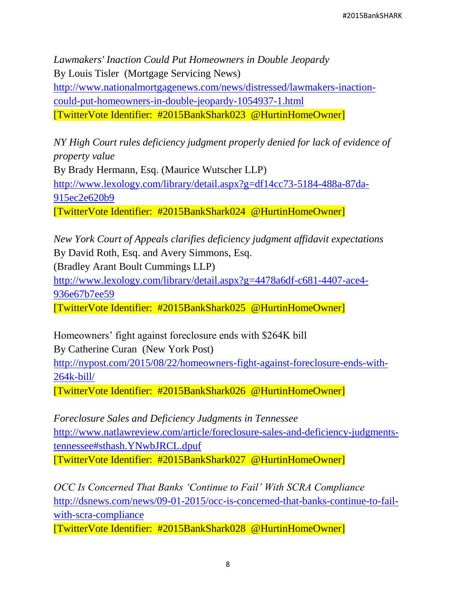*Lawmakers' Inaction Could Put Homeowners in Double Jeopardy* By Louis Tisler (Mortgage Servicing News) [http://www.nationalmortgagenews.com/news/distressed/lawmakers-inaction](http://www.nationalmortgagenews.com/news/distressed/lawmakers-inaction-could-put-homeowners-in-double-jeopardy-1054937-1.html)[could-put-homeowners-in-double-jeopardy-1054937-1.html](http://www.nationalmortgagenews.com/news/distressed/lawmakers-inaction-could-put-homeowners-in-double-jeopardy-1054937-1.html) [TwitterVote Identifier: #2015BankShark023 @HurtinHomeOwner]

*NY High Court rules deficiency judgment properly denied for lack of evidence of property value* By Brady Hermann, Esq. (Maurice Wutscher LLP) [http://www.lexology.com/library/detail.aspx?g=df14cc73-5184-488a-87da-](http://www.lexology.com/library/detail.aspx?g=df14cc73-5184-488a-87da-915ec2e620b9)[915ec2e620b9](http://www.lexology.com/library/detail.aspx?g=df14cc73-5184-488a-87da-915ec2e620b9) [TwitterVote Identifier: #2015BankShark024 @HurtinHomeOwner]

*New York Court of Appeals clarifies deficiency judgment affidavit expectations* By David Roth, Esq. and Avery Simmons, Esq. (Bradley Arant Boult Cummings LLP) [http://www.lexology.com/library/detail.aspx?g=4478a6df-c681-4407-ace4-](http://www.lexology.com/library/detail.aspx?g=4478a6df-c681-4407-ace4-936e67b7ee59)

[936e67b7ee59](http://www.lexology.com/library/detail.aspx?g=4478a6df-c681-4407-ace4-936e67b7ee59)

[TwitterVote Identifier: #2015BankShark025 @HurtinHomeOwner]

Homeowners' fight against foreclosure ends with \$264K bill By Catherine Curan (New York Post)

[http://nypost.com/2015/08/22/homeowners-fight-against-foreclosure-ends-with-](http://nypost.com/2015/08/22/homeowners-fight-against-foreclosure-ends-with-264k-bill/)[264k-bill/](http://nypost.com/2015/08/22/homeowners-fight-against-foreclosure-ends-with-264k-bill/)

[TwitterVote Identifier: #2015BankShark026 @HurtinHomeOwner]

*Foreclosure Sales and Deficiency Judgments in Tennessee* [http://www.natlawreview.com/article/foreclosure-sales-and-deficiency-judgments](http://www.natlawreview.com/article/foreclosure-sales-and-deficiency-judgments-tennessee#sthash.YNwbJRCL.dpuf)[tennessee#sthash.YNwbJRCL.dpuf](http://www.natlawreview.com/article/foreclosure-sales-and-deficiency-judgments-tennessee#sthash.YNwbJRCL.dpuf) [TwitterVote Identifier: #2015BankShark027 @HurtinHomeOwner]

*OCC Is Concerned That Banks 'Continue to Fail' With SCRA Compliance* [http://dsnews.com/news/09-01-2015/occ-is-concerned-that-banks-continue-to-fail](http://dsnews.com/news/09-01-2015/occ-is-concerned-that-banks-continue-to-fail-with-scra-compliance)[with-scra-compliance](http://dsnews.com/news/09-01-2015/occ-is-concerned-that-banks-continue-to-fail-with-scra-compliance)

[TwitterVote Identifier: #2015BankShark028 @HurtinHomeOwner]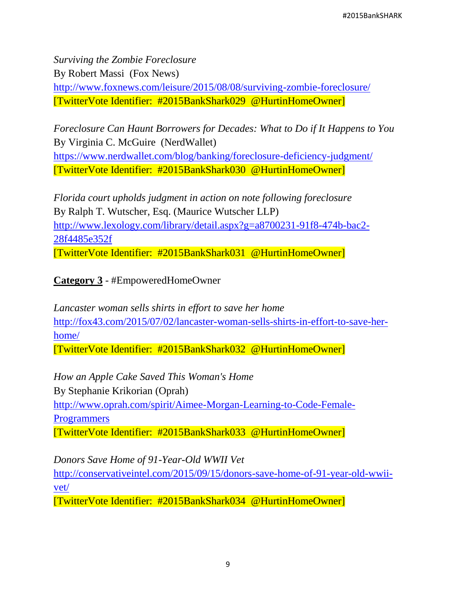*Surviving the Zombie Foreclosure* By Robert Massi (Fox News) <http://www.foxnews.com/leisure/2015/08/08/surviving-zombie-foreclosure/> [TwitterVote Identifier: #2015BankShark029 @HurtinHomeOwner]

*Foreclosure Can Haunt Borrowers for Decades: What to Do if It Happens to You* By Virginia C. McGuire (NerdWallet)

<https://www.nerdwallet.com/blog/banking/foreclosure-deficiency-judgment/> [TwitterVote Identifier: #2015BankShark030 @HurtinHomeOwner]

*Florida court upholds judgment in action on note following foreclosure* By Ralph T. Wutscher, Esq. (Maurice Wutscher LLP) [http://www.lexology.com/library/detail.aspx?g=a8700231-91f8-474b-bac2-](http://www.lexology.com/library/detail.aspx?g=a8700231-91f8-474b-bac2-28f4485e352f) [28f4485e352f](http://www.lexology.com/library/detail.aspx?g=a8700231-91f8-474b-bac2-28f4485e352f) [TwitterVote Identifier: #2015BankShark031 @HurtinHomeOwner]

**Category 3** - #EmpoweredHomeOwner

*Lancaster woman sells shirts in effort to save her home* [http://fox43.com/2015/07/02/lancaster-woman-sells-shirts-in-effort-to-save-her](http://fox43.com/2015/07/02/lancaster-woman-sells-shirts-in-effort-to-save-her-home/)[home/](http://fox43.com/2015/07/02/lancaster-woman-sells-shirts-in-effort-to-save-her-home/)

[TwitterVote Identifier: #2015BankShark032 @HurtinHomeOwner]

*How an Apple Cake Saved This Woman's Home* By Stephanie Krikorian (Oprah) [http://www.oprah.com/spirit/Aimee-Morgan-Learning-to-Code-Female-](http://www.oprah.com/spirit/Aimee-Morgan-Learning-to-Code-Female-Programmers)**[Programmers](http://www.oprah.com/spirit/Aimee-Morgan-Learning-to-Code-Female-Programmers)** [TwitterVote Identifier: #2015BankShark033 @HurtinHomeOwner]

*Donors Save Home of 91-Year-Old WWII Vet*

[http://conservativeintel.com/2015/09/15/donors-save-home-of-91-year-old-wwii](http://conservativeintel.com/2015/09/15/donors-save-home-of-91-year-old-wwii-vet/)[vet/](http://conservativeintel.com/2015/09/15/donors-save-home-of-91-year-old-wwii-vet/)

[TwitterVote Identifier: #2015BankShark034 @HurtinHomeOwner]